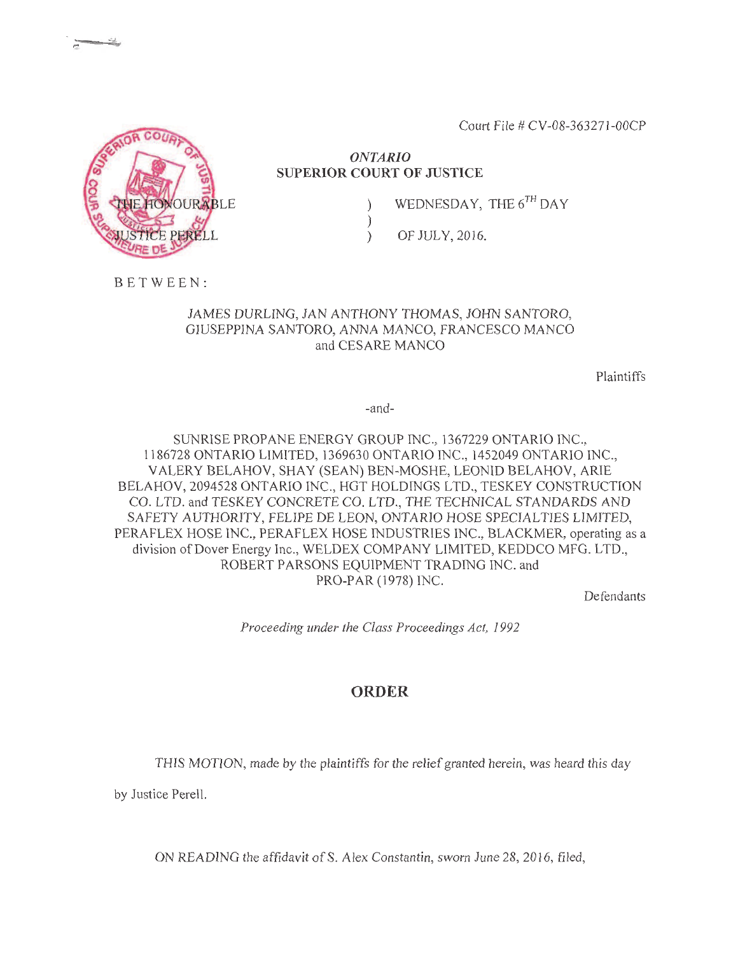Court File # CV-08-363271-00CP

## **ONTARIO SUPERIOR COURT OF JUSTICE**

 $\mathcal{E}$  $\mathcal{E}$ 

 $\lambda$ 

WEDNESDAY, THE 6TH DAY

OF JULY, 2016.

BETWEEN:

## JAMES DURLING, JAN ANTHONY THOMAS, JOHN SANTORO, GIUSEPPINA SANTORO, ANNA MANCO, FRANCESCO MANCO and CESARE MANCO

Plaintiffs

 $-$ and $-$ 

SUNRISE PROPANE ENERGY GROUP INC., 1367229 ONTARIO INC., 1186728 ONTARIO LIMITED, 1369630 ONTARIO INC., 1452049 ONTARIO INC., VALERY BELAHOV, SHAY (SEAN) BEN-MOSHE, LEONID BELAHOV, ARIE BELAHOV, 2094528 ONTARIO INC., HGT HOLDINGS LTD., TESKEY CONSTRUCTION CO. LTD. and TESKEY CONCRETE CO. LTD., THE TECHNICAL STANDARDS AND SAFETY AUTHORITY, FELIPE DE LEON, ONTARIO HOSE SPECIALTIES LIMITED, PERAFLEX HOSE INC., PERAFLEX HOSE INDUSTRIES INC., BLACKMER, operating as a division of Dover Energy Inc., WELDEX COMPANY LIMITED, KEDDCO MFG. LTD., ROBERT PARSONS EQUIPMENT TRADING INC. and PRO-PAR (1978) INC.

Defendants

Proceeding under the Class Proceedings Act, 1992

## **ORDER**

THIS MOTION, made by the plaintiffs for the relief granted herein, was heard this day

by Justice Perell.

ON READING the affidavit of S. Alex Constantin, sworn June 28, 2016, filed,

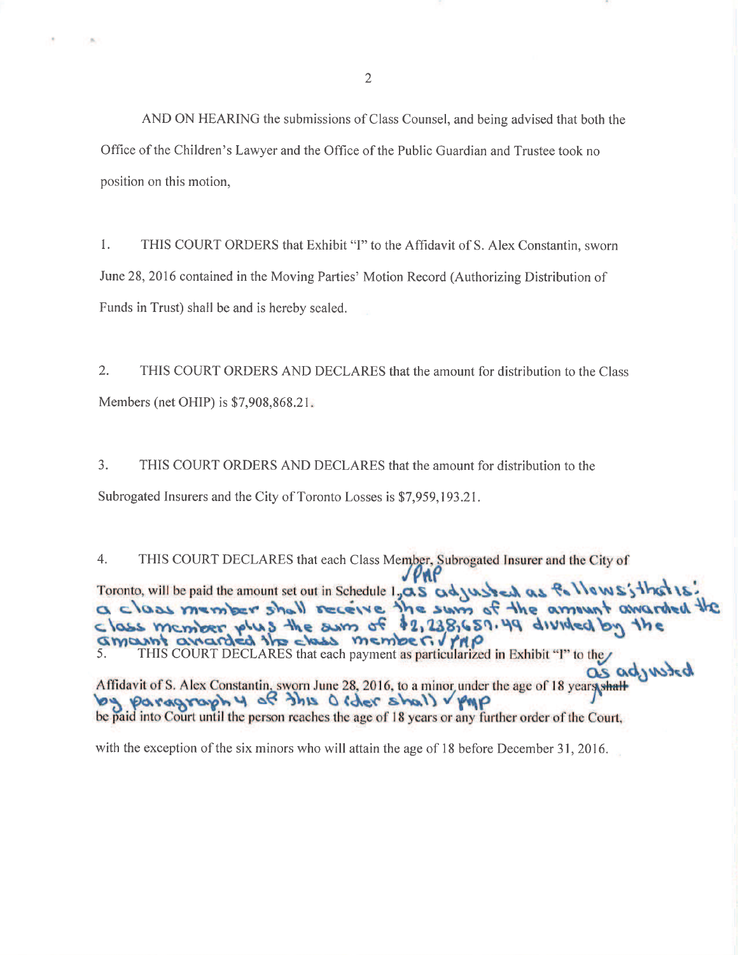AND ON HEARING the submissions of Class Counsel, and being advised that both the Office of the Children's Lawyer and the Office of the Public Guardian and Trustee took no position on this motion.

1. THIS COURT ORDERS that Exhibit "I" to the Affidavit of S. Alex Constantin, sworn June 28, 2016 contained in the Moving Parties' Motion Record (Authorizing Distribution of Funds in Trust) shall be and is hereby sealed.

 $2.$ THIS COURT ORDERS AND DECLARES that the amount for distribution to the Class Members (net OHIP) is \$7,908,868.21.

 $3.$ THIS COURT ORDERS AND DECLARES that the amount for distribution to the Subrogated Insurers and the City of Toronto Losses is \$7,959,193.21.

 $4.$ THIS COURT DECLARES that each Class Member, Subrogated Insurer and the City of Toronto, will be paid the amount set out in Schedule 1, as adjusted as fallows; that is a class member shall receive the sum of the amount awarded the Gmant anarded the class member. / rap S. THIS COURT DECLARES that each payment as particularized in Exhibit "I" to the as adjusted Affidavit of S. Alex Constantin, sworn June 28, 2016, to a minor under the age of 18 years, shall be paid into Court until the person reaches the age of 18 years or any further order of the Court,

with the exception of the six minors who will attain the age of 18 before December 31, 2016.

 $\overline{2}$ 

**COLL**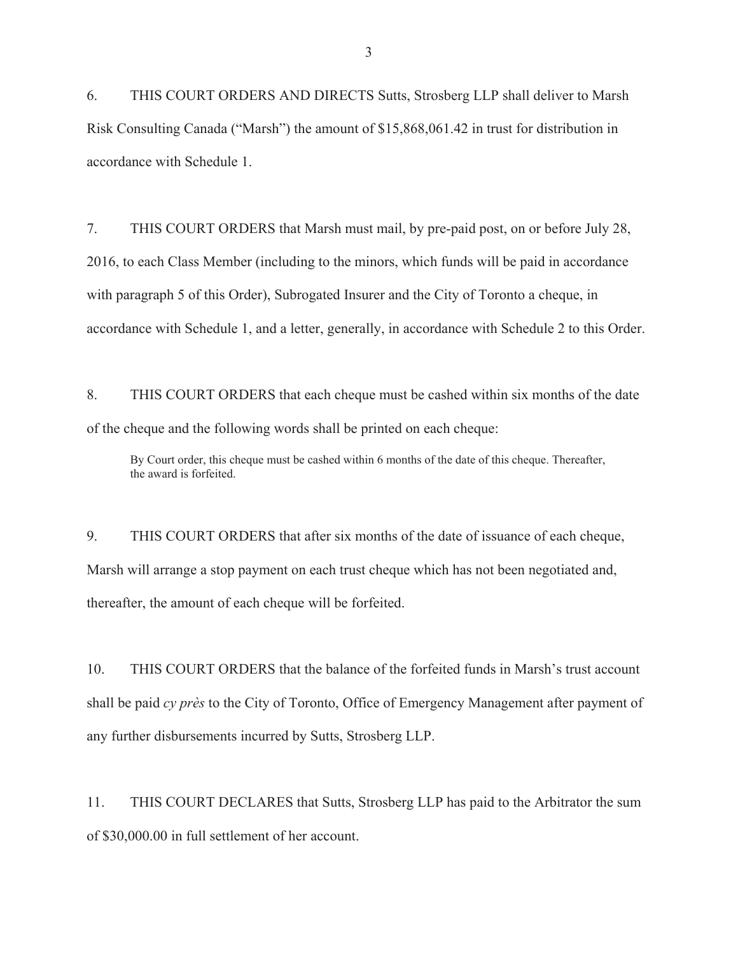6. THIS COURT ORDERS AND DIRECTS Sutts, Strosberg LLP shall deliver to Marsh Risk Consulting Canada ("Marsh") the amount of \$15,868,061.42 in trust for distribution in accordance with Schedule 1.

7. THIS COURT ORDERS that Marsh must mail, by pre-paid post, on or before July 28, 2016, to each Class Member (including to the minors, which funds will be paid in accordance with paragraph 5 of this Order), Subrogated Insurer and the City of Toronto a cheque, in accordance with Schedule 1, and a letter, generally, in accordance with Schedule 2 to this Order.

8. THIS COURT ORDERS that each cheque must be cashed within six months of the date of the cheque and the following words shall be printed on each cheque:

By Court order, this cheque must be cashed within 6 months of the date of this cheque. Thereafter, the award is forfeited.

9. THIS COURT ORDERS that after six months of the date of issuance of each cheque, Marsh will arrange a stop payment on each trust cheque which has not been negotiated and, thereafter, the amount of each cheque will be forfeited.

10. THIS COURT ORDERS that the balance of the forfeited funds in Marsh's trust account shall be paid *cy près* to the City of Toronto, Office of Emergency Management after payment of any further disbursements incurred by Sutts, Strosberg LLP.

11. THIS COURT DECLARES that Sutts, Strosberg LLP has paid to the Arbitrator the sum of \$30,000.00 in full settlement of her account.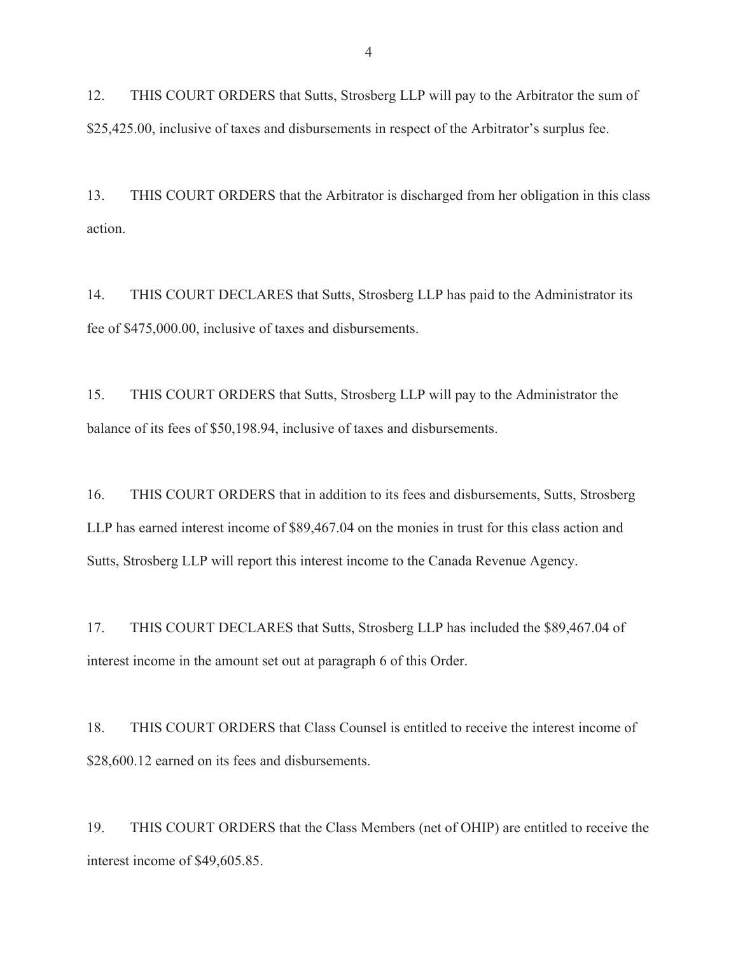12. THIS COURT ORDERS that Sutts, Strosberg LLP will pay to the Arbitrator the sum of \$25,425.00, inclusive of taxes and disbursements in respect of the Arbitrator's surplus fee.

13. THIS COURT ORDERS that the Arbitrator is discharged from her obligation in this class action.

14. THIS COURT DECLARES that Sutts, Strosberg LLP has paid to the Administrator its fee of \$475,000.00, inclusive of taxes and disbursements.

15. THIS COURT ORDERS that Sutts, Strosberg LLP will pay to the Administrator the balance of its fees of \$50,198.94, inclusive of taxes and disbursements.

16. THIS COURT ORDERS that in addition to its fees and disbursements, Sutts, Strosberg LLP has earned interest income of \$89,467.04 on the monies in trust for this class action and Sutts, Strosberg LLP will report this interest income to the Canada Revenue Agency.

17. THIS COURT DECLARES that Sutts, Strosberg LLP has included the \$89,467.04 of interest income in the amount set out at paragraph 6 of this Order.

18. THIS COURT ORDERS that Class Counsel is entitled to receive the interest income of \$28,600.12 earned on its fees and disbursements.

19. THIS COURT ORDERS that the Class Members (net of OHIP) are entitled to receive the interest income of \$49,605.85.